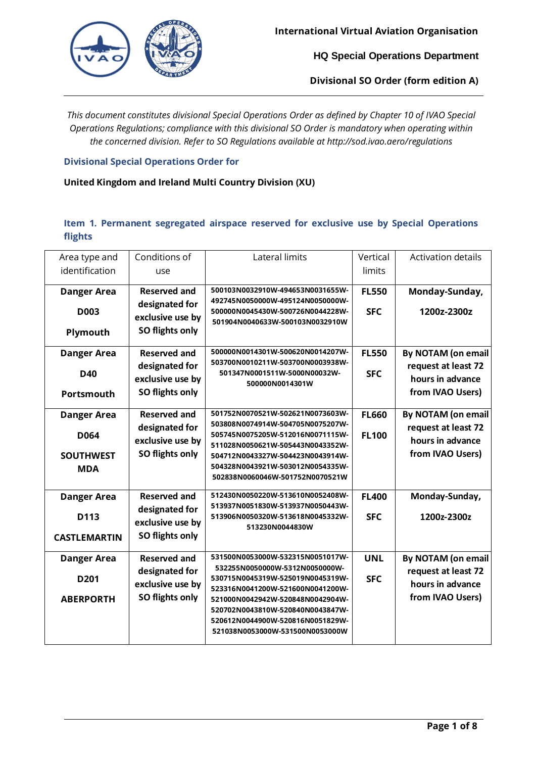

**Divisional SO Order (form edition A)**

*This document constitutes divisional Special Operations Order as defined by Chapter 10 of IVAO Special Operations Regulations; compliance with this divisional SO Order is mandatory when operating within the concerned division. Refer to SO Regulations available at http://sod.ivao.aero/regulations*

### **Divisional Special Operations Order for**

# **United Kingdom and Ireland Multi Country Division (XU)**

# **Item 1. Permanent segregated airspace reserved for exclusive use by Special Operations flights**

| Area type and       | Conditions of       | Lateral limits                                                       | Vertical     | <b>Activation details</b> |
|---------------------|---------------------|----------------------------------------------------------------------|--------------|---------------------------|
| identification      | use                 |                                                                      | limits       |                           |
| <b>Danger Area</b>  | <b>Reserved and</b> | 500103N0032910W-494653N0031655W-                                     | <b>FL550</b> | Monday-Sunday,            |
| <b>D003</b>         | designated for      | 492745N0050000W-495124N0050000W-<br>500000N0045430W-500726N0044228W- | <b>SFC</b>   | 1200z-2300z               |
|                     | exclusive use by    | 501904N0040633W-500103N0032910W                                      |              |                           |
| Plymouth            | SO flights only     |                                                                      |              |                           |
| <b>Danger Area</b>  | <b>Reserved and</b> | 500000N0014301W-500620N0014207W-                                     | <b>FL550</b> | <b>By NOTAM (on email</b> |
| <b>D40</b>          | designated for      | 503700N0010211W-503700N0003938W-<br>501347N0001511W-5000N00032W-     | <b>SFC</b>   | request at least 72       |
|                     | exclusive use by    | 500000N0014301W                                                      |              | hours in advance          |
| <b>Portsmouth</b>   | SO flights only     |                                                                      |              | from IVAO Users)          |
| <b>Danger Area</b>  | <b>Reserved and</b> | 501752N0070521W-502621N0073603W-                                     | <b>FL660</b> | By NOTAM (on email        |
| D064                | designated for      | 503808N0074914W-504705N0075207W-<br>505745N0075205W-512016N0071115W- | <b>FL100</b> | request at least 72       |
|                     | exclusive use by    | 511028N0050621W-505443N0043352W-                                     |              | hours in advance          |
| <b>SOUTHWEST</b>    | SO flights only     | 504712N0043327W-504423N0043914W-                                     |              | from IVAO Users)          |
| <b>MDA</b>          |                     | 504328N0043921W-503012N0054335W-<br>502838N0060046W-501752N0070521W  |              |                           |
|                     | <b>Reserved and</b> | 512430N0050220W-513610N0052408W-                                     | <b>FL400</b> |                           |
| <b>Danger Area</b>  | designated for      | 513937N0051830W-513937N0050443W-                                     |              | Monday-Sunday,            |
| D <sub>113</sub>    | exclusive use by    | 513906N0050320W-513618N0045332W-<br>513230N0044830W                  | <b>SFC</b>   | 1200z-2300z               |
| <b>CASTLEMARTIN</b> | SO flights only     |                                                                      |              |                           |
| <b>Danger Area</b>  | <b>Reserved and</b> | 531500N0053000W-532315N0051017W-                                     | <b>UNL</b>   | <b>By NOTAM (on email</b> |
| D <sub>201</sub>    | designated for      | 532255N0050000W-5312N0050000W-<br>530715N0045319W-525019N0045319W-   | <b>SFC</b>   | request at least 72       |
|                     | exclusive use by    | 523316N0041200W-521600N0041200W-                                     |              | hours in advance          |
| <b>ABERPORTH</b>    | SO flights only     | 521000N0042942W-520848N0042904W-<br>520702N0043810W-520840N0043847W- |              | from IVAO Users)          |
|                     |                     | 520612N0044900W-520816N0051829W-                                     |              |                           |
|                     |                     | 521038N0053000W-531500N0053000W                                      |              |                           |
|                     |                     |                                                                      |              |                           |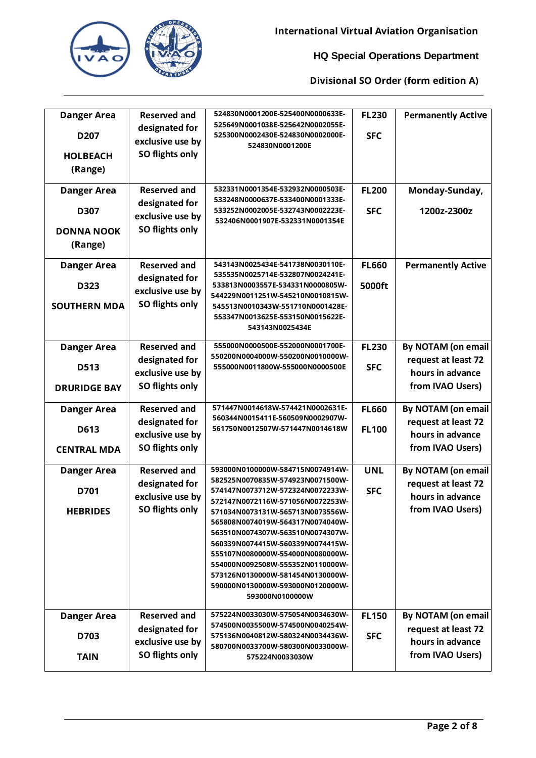

| <b>Danger Area</b>           | <b>Reserved and</b>                                   | 524830N0001200E-525400N0000633E-                                                                                                                                                                                                                                                                                | <b>FL230</b>               | <b>Permanently Active</b>                 |
|------------------------------|-------------------------------------------------------|-----------------------------------------------------------------------------------------------------------------------------------------------------------------------------------------------------------------------------------------------------------------------------------------------------------------|----------------------------|-------------------------------------------|
| D <sub>207</sub>             | designated for<br>exclusive use by                    | 525649N0001038E-525642N0002055E-<br>525300N0002430E-524830N0002000E-<br>524830N0001200E                                                                                                                                                                                                                         | <b>SFC</b>                 |                                           |
| <b>HOLBEACH</b><br>(Range)   | SO flights only                                       |                                                                                                                                                                                                                                                                                                                 |                            |                                           |
| <b>Danger Area</b>           | <b>Reserved and</b><br>designated for                 | 532331N0001354E-532932N0000503E-<br>533248N0000637E-533400N0001333E-                                                                                                                                                                                                                                            | <b>FL200</b>               | Monday-Sunday,                            |
| D307                         | exclusive use by                                      | 533252N0002005E-532743N0002223E-<br>532406N0001907E-532331N0001354E                                                                                                                                                                                                                                             | <b>SFC</b>                 | 1200z-2300z                               |
| <b>DONNA NOOK</b><br>(Range) | SO flights only                                       |                                                                                                                                                                                                                                                                                                                 |                            |                                           |
| <b>Danger Area</b>           | <b>Reserved and</b>                                   | 543143N0025434E-541738N0030110E-<br>535535N0025714E-532807N0024241E-                                                                                                                                                                                                                                            | <b>FL660</b>               | <b>Permanently Active</b>                 |
| D323                         | designated for<br>exclusive use by<br>SO flights only | 533813N0003557E-534331N0000805W-<br>544229N0011251W-545210N0010815W-                                                                                                                                                                                                                                            | 5000ft                     |                                           |
| <b>SOUTHERN MDA</b>          |                                                       | 545513N0010343W-551710N0001428E-<br>553347N0013625E-553150N0015622E-<br>543143N0025434E                                                                                                                                                                                                                         |                            |                                           |
| <b>Danger Area</b>           | <b>Reserved and</b>                                   | 555000N0000500E-552000N0001700E-                                                                                                                                                                                                                                                                                | <b>FL230</b>               | By NOTAM (on email                        |
| D513                         | designated for<br>exclusive use by                    | 550200N0004000W-550200N0010000W-<br>555000N0011800W-555000N0000500E                                                                                                                                                                                                                                             | <b>SFC</b>                 | request at least 72<br>hours in advance   |
| <b>DRURIDGE BAY</b>          | SO flights only                                       |                                                                                                                                                                                                                                                                                                                 |                            | from IVAO Users)                          |
| <b>Danger Area</b>           | <b>Reserved and</b>                                   | 571447N0014618W-574421N0002631E-<br>560344N0015411E-560509N0002907W-                                                                                                                                                                                                                                            | <b>FL660</b>               | By NOTAM (on email                        |
| D613                         | designated for<br>exclusive use by                    | 561750N0012507W-571447N0014618W                                                                                                                                                                                                                                                                                 | <b>FL100</b>               | request at least 72<br>hours in advance   |
| <b>CENTRAL MDA</b>           | SO flights only                                       |                                                                                                                                                                                                                                                                                                                 |                            | from IVAO Users)                          |
| <b>Danger Area</b>           | <b>Reserved and</b>                                   | 593000N0100000W-584715N0074914W-<br>582525N0070835W-574923N0071500W-                                                                                                                                                                                                                                            | <b>UNL</b>                 | By NOTAM (on email                        |
| D701                         | designated for<br>exclusive use by                    | 574147N0073712W-572324N0072233W-<br>572147N0072116W-571056N0072253W-                                                                                                                                                                                                                                            | <b>SFC</b>                 | request at least 72<br>hours in advance   |
| <b>HEBRIDES</b>              | SO flights only                                       | 571034N0073131W-565713N0073556W-<br>565808N0074019W-564317N0074040W-<br>563510N0074307W-563510N0074307W-<br>560339N0074415W-560339N0074415W-<br>555107N0080000W-554000N0080000W-<br>554000N0092508W-555352N0110000W-<br>573126N0130000W-581454N0130000W-<br>590000N0130000W-593000N0120000W-<br>593000N0100000W |                            | from IVAO Users)                          |
| <b>Danger Area</b><br>D703   | <b>Reserved and</b><br>designated for                 | 575224N0033030W-575054N0034630W-<br>574500N0035500W-574500N0040254W-<br>575136N0040812W-580324N0034436W-                                                                                                                                                                                                        | <b>FL150</b><br><b>SFC</b> | By NOTAM (on email<br>request at least 72 |
|                              | exclusive use by                                      | 580700N0033700W-580300N0033000W-                                                                                                                                                                                                                                                                                |                            | hours in advance                          |
| <b>TAIN</b>                  | SO flights only                                       | 575224N0033030W                                                                                                                                                                                                                                                                                                 |                            | from IVAO Users)                          |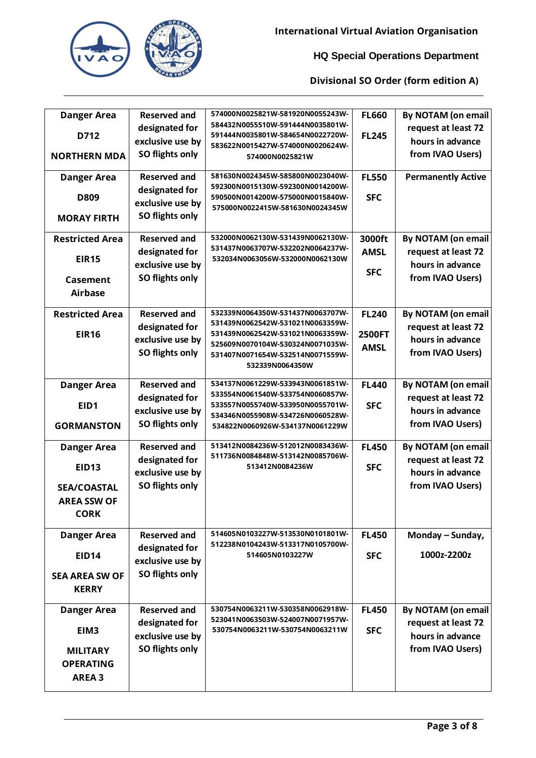

| <b>Danger Area</b>     | <b>Reserved and</b> | 574000N0025821W-581920N0055243W-                                     | <b>FL660</b>                 | <b>By NOTAM (on email</b> |
|------------------------|---------------------|----------------------------------------------------------------------|------------------------------|---------------------------|
| D712                   | designated for      | 584432N0055510W-591444N0035801W-<br>591444N0035801W-584654N0022720W- | <b>FL245</b>                 | request at least 72       |
|                        | exclusive use by    | 583622N0015427W-574000N0020624W-                                     |                              | hours in advance          |
| <b>NORTHERN MDA</b>    | SO flights only     | 574000N0025821W                                                      |                              | from IVAO Users)          |
| Danger Area            | <b>Reserved and</b> | 581630N0024345W-585800N0023040W-                                     | <b>FL550</b>                 | <b>Permanently Active</b> |
|                        | designated for      | 592300N0015130W-592300N0014200W-                                     |                              |                           |
| D809                   | exclusive use by    | 590500N0014200W-575000N0015840W-<br>575000N0022415W-581630N0024345W  | <b>SFC</b>                   |                           |
| <b>MORAY FIRTH</b>     | SO flights only     |                                                                      |                              |                           |
| <b>Restricted Area</b> | <b>Reserved and</b> | 532000N0062130W-531439N0062130W-                                     | 3000ft                       | <b>By NOTAM (on email</b> |
| <b>EIR15</b>           | designated for      | 531437N0063707W-532202N0064237W-<br>532034N0063056W-532000N0062130W  | <b>AMSL</b>                  | request at least 72       |
|                        | exclusive use by    |                                                                      | <b>SFC</b>                   | hours in advance          |
| <b>Casement</b>        | SO flights only     |                                                                      |                              | from IVAO Users)          |
| <b>Airbase</b>         |                     |                                                                      |                              |                           |
| <b>Restricted Area</b> | <b>Reserved and</b> | 532339N0064350W-531437N0063707W-                                     | <b>FL240</b>                 | <b>By NOTAM (on email</b> |
|                        | designated for      | 531439N0062542W-531021N0063359W-                                     |                              | request at least 72       |
| <b>EIR16</b>           | exclusive use by    | 531439N0062542W-531021N0063359W-<br>525609N0070104W-530324N0071035W- | <b>2500FT</b><br><b>AMSL</b> | hours in advance          |
|                        | SO flights only     | 531407N0071654W-532514N0071559W-                                     |                              | from IVAO Users)          |
|                        |                     | 532339N0064350W                                                      |                              |                           |
| <b>Danger Area</b>     | <b>Reserved and</b> | 534137N0061229W-533943N0061851W-                                     | <b>FL440</b>                 | <b>By NOTAM (on email</b> |
| EID1                   | designated for      | 533554N0061540W-533754N0060857W-<br>533557N0055740W-533950N0055701W- | <b>SFC</b>                   | request at least 72       |
|                        | exclusive use by    | 534346N0055908W-534726N0060528W-                                     |                              | hours in advance          |
| <b>GORMANSTON</b>      | SO flights only     | 534822N0060926W-534137N0061229W                                      |                              | from IVAO Users)          |
| <b>Danger Area</b>     | <b>Reserved and</b> | 513412N0084236W-512012N0083436W-                                     | <b>FL450</b>                 | <b>By NOTAM (on email</b> |
| EID <sub>13</sub>      | designated for      | 511736N0084848W-513142N0085706W-<br>513412N0084236W                  | <b>SFC</b>                   | request at least 72       |
|                        | exclusive use by    |                                                                      |                              | hours in advance          |
| <b>SEA/COASTAL</b>     | SO flights only     |                                                                      |                              | from IVAO Users)          |
| <b>AREA SSW OF</b>     |                     |                                                                      |                              |                           |
| <b>CORK</b>            |                     |                                                                      |                              |                           |
| <b>Danger Area</b>     | <b>Reserved and</b> | 514605N0103227W-513530N0101801W-                                     | <b>FL450</b>                 | Monday - Sunday,          |
| <b>EID14</b>           | designated for      | 512238N0104243W-513317N0105700W-<br>514605N0103227W                  | <b>SFC</b>                   | 1000z-2200z               |
|                        | exclusive use by    |                                                                      |                              |                           |
| <b>SEA AREA SW OF</b>  | SO flights only     |                                                                      |                              |                           |
| <b>KERRY</b>           |                     |                                                                      |                              |                           |
| Danger Area            | <b>Reserved and</b> | 530754N0063211W-530358N0062918W-                                     | <b>FL450</b>                 | By NOTAM (on email        |
| EIM3                   | designated for      | 523041N0063503W-524007N0071957W-<br>530754N0063211W-530754N0063211W  | <b>SFC</b>                   | request at least 72       |
|                        | exclusive use by    |                                                                      |                              | hours in advance          |
| <b>MILITARY</b>        | SO flights only     |                                                                      |                              | from IVAO Users)          |
| <b>OPERATING</b>       |                     |                                                                      |                              |                           |
| <b>AREA 3</b>          |                     |                                                                      |                              |                           |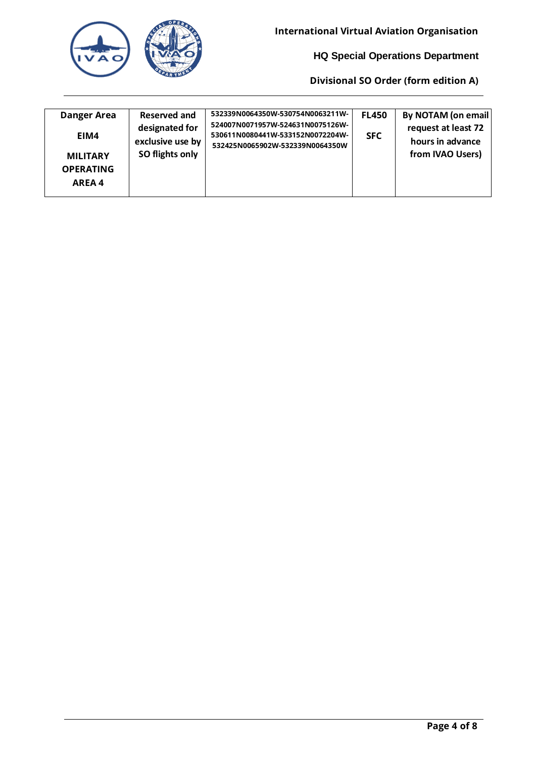| <b>Reserved and</b><br><b>Danger Area</b><br>designated for<br>EIM4<br>exclusive use by<br>SO flights only<br><b>MILITARY</b><br><b>OPERATING</b><br>AREA 4 | 532339N0064350W-530754N0063211W-<br>524007N0071957W-524631N0075126W-<br>530611N0080441W-533152N0072204W-<br>532425N0065902W-532339N0064350W | <b>FL450</b><br><b>SFC</b> | <b>By NOTAM (on email</b><br>request at least 72<br>hours in advance<br>from IVAO Users) |
|-------------------------------------------------------------------------------------------------------------------------------------------------------------|---------------------------------------------------------------------------------------------------------------------------------------------|----------------------------|------------------------------------------------------------------------------------------|
|-------------------------------------------------------------------------------------------------------------------------------------------------------------|---------------------------------------------------------------------------------------------------------------------------------------------|----------------------------|------------------------------------------------------------------------------------------|

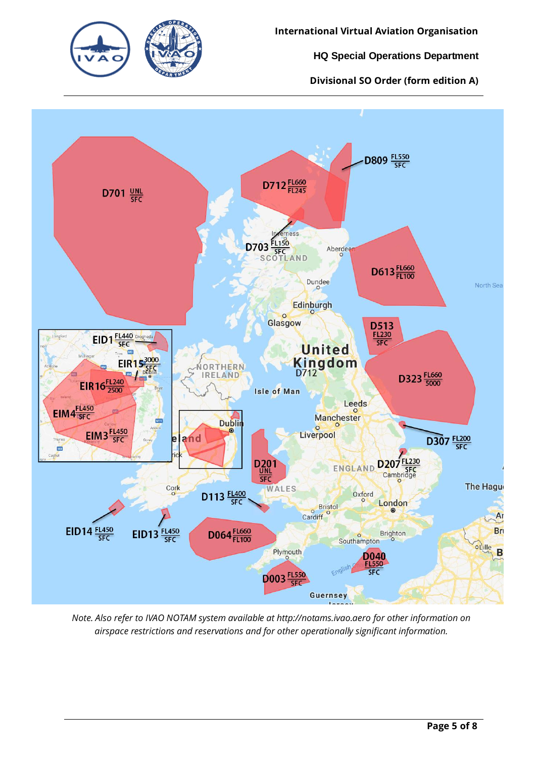



*Note. Also refer to IVAO NOTAM system available at http://notams.ivao.aero for other information on airspace restrictions and reservations and for other operationally significant information.*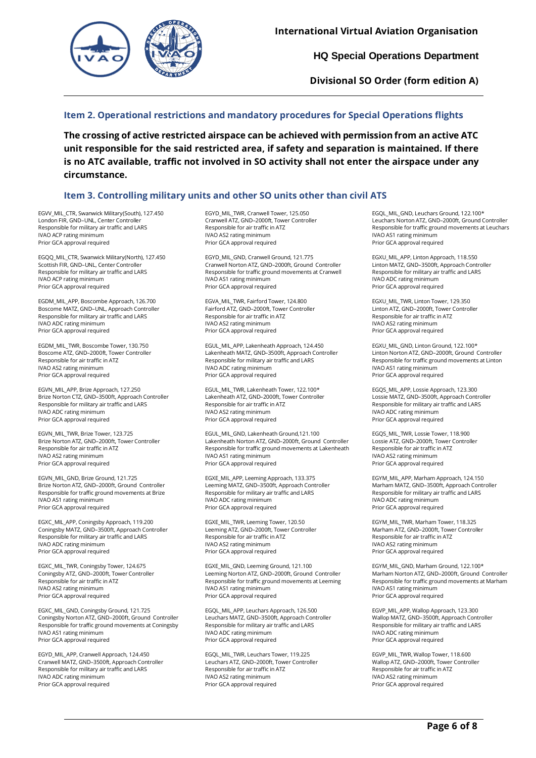

**Divisional SO Order (form edition A)**

# **Item 2. Operational restrictions and mandatory procedures for Special Operations flights**

**The crossing of active restricted airspace can be achieved with permission from an active ATC unit responsible for the said restricted area, if safety and separation is maintained. If there is no ATC available, traffic not involved in SO activity shall not enter the airspace under any circumstance.**

# **Item 3. Controlling military units and other SO units other than civil ATS**

EGVV\_MIL\_CTR, Swanwick Military(South), 127.450 London FIR, GND–UNL, Center Controller Responsible for military air traffic and LARS IVAO ACP rating minimum Prior GCA approval required

EGQQ\_MIL\_CTR, Swanwick Military(North), 127.450 Scottish FIR, GND–UNL, Center Controller Responsible for military air traffic and LARS IVAO ACP rating minimum Prior GCA approval required

EGDM\_MIL\_APP, Boscombe Approach, 126.700 Boscome MATZ, GND–UNL, Approach Controller Responsible for military air traffic and LARS IVAO ADC rating minimum Prior GCA approval required

EGDM\_MIL\_TWR, Boscombe Tower, 130.750 Boscome ATZ, GND–2000ft, Tower Controller Responsible for air traffic in ATZ IVAO AS2 rating minimum Prior GCA approval required

EGVN\_MIL\_APP, Brize Approach, 127.250 Brize Norton CTZ, GND–3500ft, Approach Controller Responsible for military air traffic and LARS IVAO ADC rating minimum Prior GCA approval required

EGVN\_MIL\_TWR, Brize Tower, 123.725 Brize Norton ATZ, GND–2000ft, Tower Controller Responsible for air traffic in ATZ IVAO AS2 rating minimum Prior GCA approval required

EGVN\_MIL\_GND, Brize Ground, 121.725 Brize Norton ATZ, GND–2000ft, Ground Controller Responsible for traffic ground movements at Brize IVAO AS1 rating minimum Prior GCA approval required

EGXC\_MIL\_APP, Coningsby Approach, 119.200 Coningsby MATZ, GND–3500ft, Approach Controller Responsible for military air traffic and LARS IVAO ADC rating minimum Prior GCA approval required

EGXC\_MIL\_TWR, Coningsby Tower, 124.675 Coningsby ATZ, GND–2000ft, Tower Controller Responsible for air traffic in ATZ IVAO AS2 rating minimum Prior GCA approval required

EGXC\_MIL\_GND, Coningsby Ground, 121.725 Coningsby Norton ATZ, GND–2000ft, Ground Controller Responsible for traffic ground movements at Coningsby IVAO AS1 rating minimum Prior GCA approval required

EGYD\_MIL\_APP, Cranwell Approach, 124.450 Cranwell MATZ, GND–3500ft, Approach Controller Responsible for military air traffic and LARS IVAO ADC rating minimum Prior GCA approval required

EGYD\_MIL\_TWR, Cranwell Tower, 125.050 Cranwell ATZ, GND–2000ft, Tower Controller Responsible for air traffic in ATZ IVAO AS2 rating minimum Prior GCA approval required

EGYD\_MIL\_GND, Cranwell Ground, 121.775 Cranwell Norton ATZ, GND–2000ft, Ground Controller Responsible for traffic ground movements at Cranwell IVAO AS1 rating minimum Prior GCA approval required

EGVA\_MIL\_TWR, Fairford Tower, 124.800 Fairford ATZ, GND–2000ft, Tower Controller Responsible for air traffic in ATZ IVAO AS2 rating minimum Prior GCA approval required

EGUL\_MIL\_APP, Lakenheath Approach, 124.450 Lakenheath MATZ, GND–3500ft, Approach Controller Responsible for military air traffic and LARS IVAO ADC rating minimum Prior GCA approval required

EGUL\_MIL\_TWR, Lakenheath Tower, 122.100\* Lakenheath ATZ, GND–2000ft, Tower Controller Responsible for air traffic in ATZ IVAO AS2 rating minimum Prior GCA approval required

EGUL\_MIL\_GND, Lakenheath Ground,121.100 Lakenheath Norton ATZ, GND–2000ft, Ground Controller Responsible for traffic ground movements at Lakenheath IVAO AS1 rating minimum Prior GCA approval required

EGXE\_MIL\_APP, Leeming Approach, 133.375 Leeming MATZ, GND–3500ft, Approach Controller Responsible for military air traffic and LARS IVAO ADC rating minimum Prior GCA approval required

EGXE\_MIL\_TWR, Leeming Tower, 120.50 Leeming ATZ, GND–2000ft, Tower Controller Responsible for air traffic in ATZ IVAO AS2 rating minimum Prior GCA approval required

EGXE\_MIL\_GND, Leeming Ground, 121.100 Leeming Norton ATZ, GND–2000ft, Ground Controller Responsible for traffic ground movements at Leeming IVAO AS1 rating minimum Prior GCA approval required

EGQL\_MIL\_APP, Leuchars Approach, 126.500 Leuchars MATZ, GND–3500ft, Approach Controller Responsible for military air traffic and LARS IVAO ADC rating minimum Prior GCA approval required

EGQL\_MIL\_TWR, Leuchars Tower, 119.225 Leuchars ATZ, GND–2000ft, Tower Controller Responsible for air traffic in ATZ IVAO AS2 rating minimum Prior GCA approval required

EGQL\_MIL\_GND, Leuchars Ground, 122.100\* Leuchars Norton ATZ, GND–2000ft, Ground Controller Responsible for traffic ground movements at Leuchars IVAO AS1 rating minimum Prior GCA approval required

EGXU\_MIL\_APP, Linton Approach, 118.550 Linton MATZ, GND–3500ft, Approach Controller Responsible for military air traffic and LARS IVAO ADC rating minimum Prior GCA approval required

EGXU\_MIL\_TWR, Linton Tower, 129.350 Linton ATZ, GND–2000ft, Tower Controller Responsible for air traffic in ATZ IVAO AS2 rating minimum Prior GCA approval required

EGXU\_MIL\_GND, Linton Ground, 122.100\* Linton Norton ATZ, GND–2000ft, Ground Controller Responsible for traffic ground movements at Linton IVAO AS1 rating minimum Prior GCA approval required

EGQS\_MIL\_APP, Lossie Approach, 123.300 Lossie MATZ, GND–3500ft, Approach Controller Responsible for military air traffic and LARS IVAO ADC rating minimum Prior GCA approval required

EGQS\_MIL\_TWR, Lossie Tower, 118.900 Lossie ATZ, GND–2000ft, Tower Controller Responsible for air traffic in ATZ IVAO AS2 rating minimum Prior GCA approval required

EGYM\_MIL\_APP, Marham Approach, 124.150 Marham MATZ, GND–3500ft, Approach Controller Responsible for military air traffic and LARS IVAO ADC rating minimum Prior GCA approval required

EGYM\_MIL\_TWR, Marham Tower, 118.325 Marham ATZ, GND–2000ft, Tower Controller Responsible for air traffic in ATZ IVAO AS2 rating minimum Prior GCA approval required

EGYM\_MIL\_GND, Marham Ground, 122.100\* Marham Norton ATZ, GND–2000ft, Ground Controller Responsible for traffic ground movements at Marham IVAO AS1 rating minimum Prior GCA approval required

EGVP\_MIL\_APP, Wallop Approach, 123.300 Wallop MATZ, GND–3500ft, Approach Controller Responsible for military air traffic and LARS IVAO ADC rating minimum Prior GCA approval required

EGVP\_MIL\_TWR, Wallop Tower, 118.600 Wallop ATZ, GND–2000ft, Tower Controller Responsible for air traffic in ATZ IVAO AS2 rating minimum Prior GCA approval required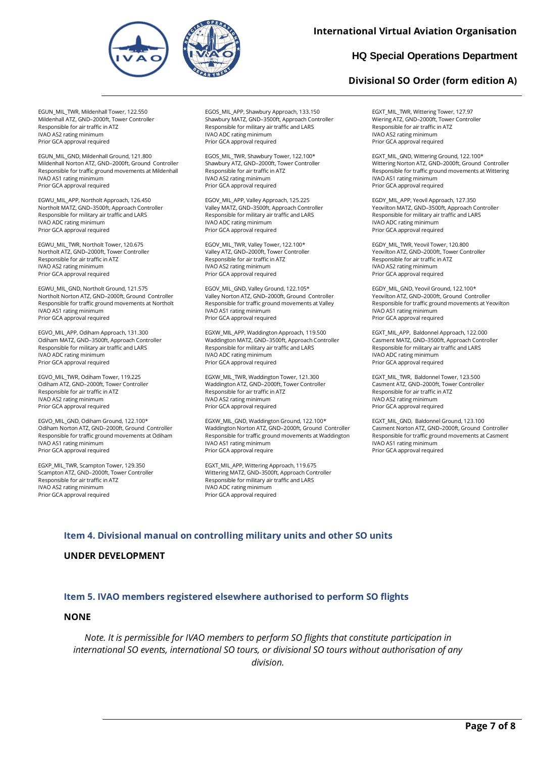

## **International Virtual Aviation Organisation**

# **HQ Special Operations Department**

# **Divisional SO Order (form edition A)**

EGUN\_MIL\_TWR, Mildenhall Tower, 122.550 Mildenhall ATZ, GND–2000ft, Tower Controller Responsible for air traffic in ATZ IVAO AS2 rating minimum Prior GCA approval required

EGUN\_MIL\_GND, Mildenhall Ground, 121.800 Mildenhall Norton ATZ, GND–2000ft, Ground Controller Responsible for traffic ground movements at Mildenhall IVAO AS1 rating minimum Prior GCA approval required

EGWU\_MIL\_APP, Northolt Approach, 126.450 Northolt MATZ, GND–3500ft, Approach Controller Responsible for military air traffic and LARS IVAO ADC rating minimum Prior GCA approval required

EGWU\_MIL\_TWR, Northolt Tower, 120.675 Northolt ATZ, GND–2000ft, Tower Controller Responsible for air traffic in ATZ IVAO AS2 rating minimum Prior GCA approval required

EGWU\_MIL\_GND, Northolt Ground, 121.575 Northolt Norton ATZ, GND–2000ft, Ground Controller Responsible for traffic ground movements at Northolt IVAO AS1 rating minimum Prior GCA approval required

EGVO\_MIL\_APP, Odiham Approach, 131.300 Odiham MATZ, GND–3500ft, Approach Controller Responsible for military air traffic and LARS IVAO ADC rating minimum Prior GCA approval required

EGVO\_MIL\_TWR, Odiham Tower, 119.225 Odiham ATZ, GND–2000ft, Tower Controller Responsible for air traffic in ATZ IVAO AS2 rating minimum Prior GCA approval required

EGVO\_MIL\_GND, Odiham Ground, 122.100\* Odiham Norton ATZ, GND–2000ft, Ground Controller Responsible for traffic ground movements at Odiham IVAO AS1 rating minimum Prior GCA approval required

EGXP\_MIL\_TWR, Scampton Tower, 129.350 Scampton ATZ, GND–2000ft, Tower Controller Responsible for air traffic in ATZ IVAO AS2 rating minimum Prior GCA approval required

EGOS\_MIL\_APP, Shawbury Approach, 133.150 Shawbury MATZ, GND–3500ft, Approach Controller Responsible for military air traffic and LARS IVAO ADC rating minimum Prior GCA approval required

EGOS\_MIL\_TWR, Shawbury Tower, 122.100\* Shawbury ATZ, GND–2000ft, Tower Controller Responsible for air traffic in ATZ IVAO AS2 rating minimum Prior GCA approval required

EGOV\_MIL\_APP, Valley Approach, 125.225 Valley MATZ, GND–3500ft, Approach Controller Responsible for military air traffic and LARS IVAO ADC rating minimum Prior GCA approval required

EGOV\_MIL\_TWR, Valley Tower, 122.100\* Valley ATZ, GND–2000ft, Tower Controller Responsible for air traffic in ATZ IVAO AS2 rating minimum Prior GCA approval required

EGOV\_MIL\_GND, Valley Ground, 122.105\* Valley Norton ATZ, GND–2000ft, Ground Controller Responsible for traffic ground movements at Valley IVAO AS1 rating minimum Prior GCA approval required

EGXW\_MIL\_APP, Waddington Approach, 119.500 Waddington MATZ, GND–3500ft, Approach Controller Responsible for military air traffic and LARS IVAO ADC rating minimum Prior GCA approval required

EGXW\_MIL\_TWR, Waddington Tower, 121.300 Waddington ATZ, GND–2000ft, Tower Controller Responsible for air traffic in ATZ IVAO AS2 rating minimum Prior GCA approval required

EGXW\_MIL\_GND, Waddington Ground, 122.100\* Waddington Norton ATZ, GND–2000ft, Ground Controller Responsible for traffic ground movements at Waddington IVAO AS1 rating minimum Prior GCA approval require

EGXT\_MIL\_APP, Wittering Approach, 119.675 Wittering MATZ, GND–3500ft, Approach Controller Responsible for military air traffic and LARS IVAO ADC rating minimum Prior GCA approval required

EGXT\_MIL\_TWR, Wittering Tower, 127.97 Wiering ATZ, GND–2000ft, Tower Controller Responsible for air traffic in ATZ IVAO AS2 rating minimum Prior GCA approval required

EGXT\_MIL\_GND, Wittering Ground, 122.100\* Wittering Norton ATZ, GND–2000ft, Ground Controller Responsible for traffic ground movements at Wittering IVAO AS1 rating minimum Prior GCA approval required

EGDY\_MIL\_APP, Yeovil Approach, 127.350 Yeovilton MATZ, GND–3500ft, Approach Controller Responsible for military air traffic and LARS IVAO ADC rating minimum Prior GCA approval required

EGDY\_MIL\_TWR, Yeovil Tower, 120.800 Yeovilton ATZ, GND–2000ft, Tower Controller Responsible for air traffic in ATZ IVAO AS2 rating minimum Prior GCA approval required

EGDY\_MIL\_GND, Yeovil Ground, 122.100\* Yeovilton ATZ, GND–2000ft, Ground Controller Responsible for traffic ground movements at Yeovilton IVAO AS1 rating minimum Prior GCA approval required

EGXT\_MIL\_APP, Baldonnel Approach, 122.000 Casment MATZ, GND–3500ft, Approach Controller Responsible for military air traffic and LARS IVAO ADC rating minimum Prior GCA approval required

EGXT\_MIL\_TWR, Baldonnel Tower, 123.500 Casment ATZ, GND–2000ft, Tower Controller Responsible for air traffic in ATZ IVAO AS2 rating minimum Prior GCA approval required

EGXT\_MIL\_GND, Baldonnel Ground, 123.100 Casment Norton ATZ, GND–2000ft, Ground Controller Responsible for traffic ground movements at Casment IVAO AS1 rating minimum Prior GCA approval required

# **Item 4. Divisional manual on controlling military units and other SO units**

#### **UNDER DEVELOPMENT**

#### **Item 5. IVAO members registered elsewhere authorised to perform SO flights**

#### **NONE**

*Note. It is permissible for IVAO members to perform SO flights that constitute participation in international SO events, international SO tours, or divisional SO tours without authorisation of any division.*